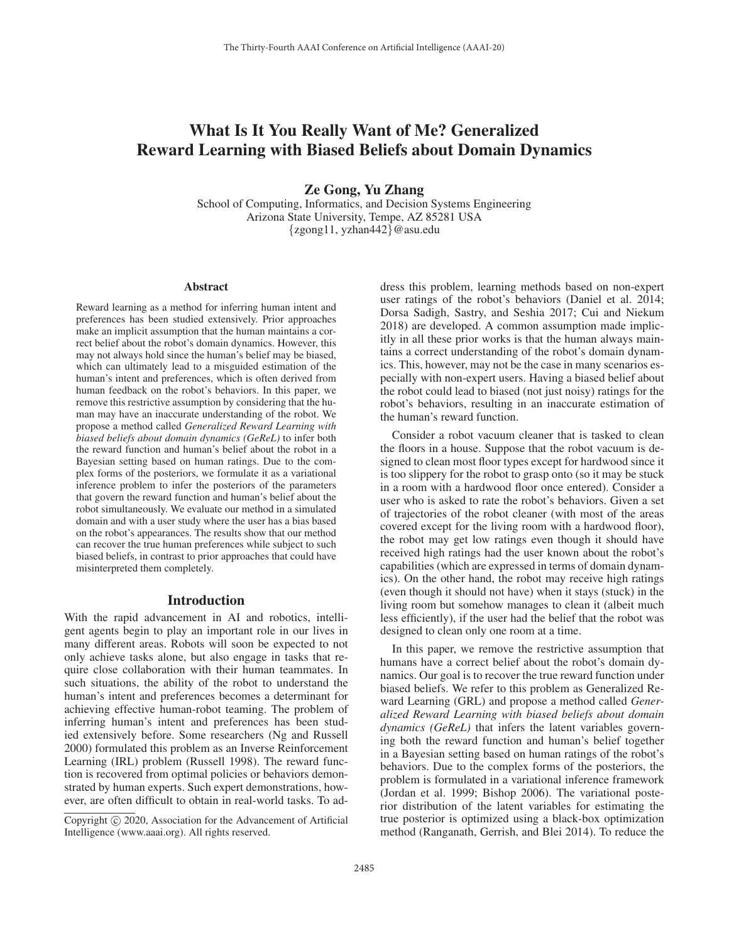# What Is It You Really Want of Me? Generalized Reward Learning with Biased Beliefs about Domain Dynamics

Ze Gong, Yu Zhang

School of Computing, Informatics, and Decision Systems Engineering Arizona State University, Tempe, AZ 85281 USA {zgong11, yzhan442}@asu.edu

#### Abstract

Reward learning as a method for inferring human intent and preferences has been studied extensively. Prior approaches make an implicit assumption that the human maintains a correct belief about the robot's domain dynamics. However, this may not always hold since the human's belief may be biased, which can ultimately lead to a misguided estimation of the human's intent and preferences, which is often derived from human feedback on the robot's behaviors. In this paper, we remove this restrictive assumption by considering that the human may have an inaccurate understanding of the robot. We propose a method called *Generalized Reward Learning with biased beliefs about domain dynamics (GeReL)* to infer both the reward function and human's belief about the robot in a Bayesian setting based on human ratings. Due to the complex forms of the posteriors, we formulate it as a variational inference problem to infer the posteriors of the parameters that govern the reward function and human's belief about the robot simultaneously. We evaluate our method in a simulated domain and with a user study where the user has a bias based on the robot's appearances. The results show that our method can recover the true human preferences while subject to such biased beliefs, in contrast to prior approaches that could have misinterpreted them completely.

# **Introduction**

With the rapid advancement in AI and robotics, intelligent agents begin to play an important role in our lives in many different areas. Robots will soon be expected to not only achieve tasks alone, but also engage in tasks that require close collaboration with their human teammates. In such situations, the ability of the robot to understand the human's intent and preferences becomes a determinant for achieving effective human-robot teaming. The problem of inferring human's intent and preferences has been studied extensively before. Some researchers (Ng and Russell 2000) formulated this problem as an Inverse Reinforcement Learning (IRL) problem (Russell 1998). The reward function is recovered from optimal policies or behaviors demonstrated by human experts. Such expert demonstrations, however, are often difficult to obtain in real-world tasks. To address this problem, learning methods based on non-expert user ratings of the robot's behaviors (Daniel et al. 2014; Dorsa Sadigh, Sastry, and Seshia 2017; Cui and Niekum 2018) are developed. A common assumption made implicitly in all these prior works is that the human always maintains a correct understanding of the robot's domain dynamics. This, however, may not be the case in many scenarios especially with non-expert users. Having a biased belief about the robot could lead to biased (not just noisy) ratings for the robot's behaviors, resulting in an inaccurate estimation of the human's reward function.

Consider a robot vacuum cleaner that is tasked to clean the floors in a house. Suppose that the robot vacuum is designed to clean most floor types except for hardwood since it is too slippery for the robot to grasp onto (so it may be stuck in a room with a hardwood floor once entered). Consider a user who is asked to rate the robot's behaviors. Given a set of trajectories of the robot cleaner (with most of the areas covered except for the living room with a hardwood floor), the robot may get low ratings even though it should have received high ratings had the user known about the robot's capabilities (which are expressed in terms of domain dynamics). On the other hand, the robot may receive high ratings (even though it should not have) when it stays (stuck) in the living room but somehow manages to clean it (albeit much less efficiently), if the user had the belief that the robot was designed to clean only one room at a time.

In this paper, we remove the restrictive assumption that humans have a correct belief about the robot's domain dynamics. Our goal is to recover the true reward function under biased beliefs. We refer to this problem as Generalized Reward Learning (GRL) and propose a method called *Generalized Reward Learning with biased beliefs about domain dynamics (GeReL)* that infers the latent variables governing both the reward function and human's belief together in a Bayesian setting based on human ratings of the robot's behaviors. Due to the complex forms of the posteriors, the problem is formulated in a variational inference framework (Jordan et al. 1999; Bishop 2006). The variational posterior distribution of the latent variables for estimating the true posterior is optimized using a black-box optimization method (Ranganath, Gerrish, and Blei 2014). To reduce the

Copyright  $\odot$  2020, Association for the Advancement of Artificial Intelligence (www.aaai.org). All rights reserved.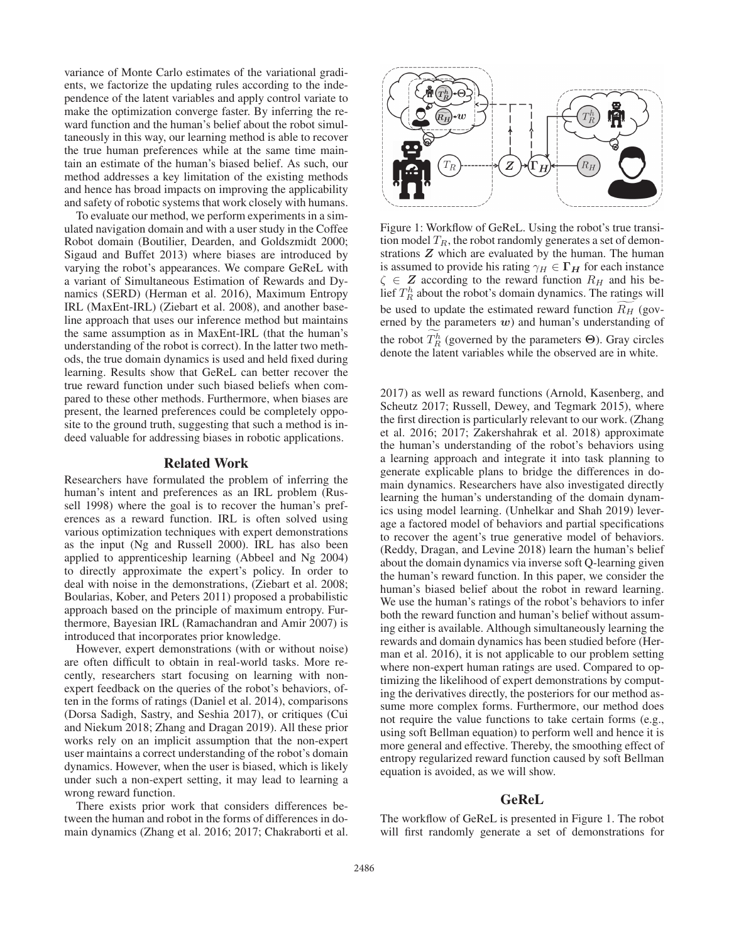variance of Monte Carlo estimates of the variational gradients, we factorize the updating rules according to the independence of the latent variables and apply control variate to make the optimization converge faster. By inferring the reward function and the human's belief about the robot simultaneously in this way, our learning method is able to recover the true human preferences while at the same time maintain an estimate of the human's biased belief. As such, our method addresses a key limitation of the existing methods and hence has broad impacts on improving the applicability and safety of robotic systems that work closely with humans.

To evaluate our method, we perform experiments in a simulated navigation domain and with a user study in the Coffee Robot domain (Boutilier, Dearden, and Goldszmidt 2000; Sigaud and Buffet 2013) where biases are introduced by varying the robot's appearances. We compare GeReL with a variant of Simultaneous Estimation of Rewards and Dynamics (SERD) (Herman et al. 2016), Maximum Entropy IRL (MaxEnt-IRL) (Ziebart et al. 2008), and another baseline approach that uses our inference method but maintains the same assumption as in MaxEnt-IRL (that the human's understanding of the robot is correct). In the latter two methods, the true domain dynamics is used and held fixed during learning. Results show that GeReL can better recover the true reward function under such biased beliefs when compared to these other methods. Furthermore, when biases are present, the learned preferences could be completely opposite to the ground truth, suggesting that such a method is indeed valuable for addressing biases in robotic applications.

### Related Work

Researchers have formulated the problem of inferring the human's intent and preferences as an IRL problem (Russell 1998) where the goal is to recover the human's preferences as a reward function. IRL is often solved using various optimization techniques with expert demonstrations as the input (Ng and Russell 2000). IRL has also been applied to apprenticeship learning (Abbeel and Ng 2004) to directly approximate the expert's policy. In order to deal with noise in the demonstrations, (Ziebart et al. 2008; Boularias, Kober, and Peters 2011) proposed a probabilistic approach based on the principle of maximum entropy. Furthermore, Bayesian IRL (Ramachandran and Amir 2007) is introduced that incorporates prior knowledge.

However, expert demonstrations (with or without noise) are often difficult to obtain in real-world tasks. More recently, researchers start focusing on learning with nonexpert feedback on the queries of the robot's behaviors, often in the forms of ratings (Daniel et al. 2014), comparisons (Dorsa Sadigh, Sastry, and Seshia 2017), or critiques (Cui and Niekum 2018; Zhang and Dragan 2019). All these prior works rely on an implicit assumption that the non-expert user maintains a correct understanding of the robot's domain dynamics. However, when the user is biased, which is likely under such a non-expert setting, it may lead to learning a wrong reward function.

There exists prior work that considers differences between the human and robot in the forms of differences in domain dynamics (Zhang et al. 2016; 2017; Chakraborti et al.



Figure 1: Workflow of GeReL. Using the robot's true transition model  $T_R$ , the robot randomly generates a set of demon-<br>strations  $Z$  which are evaluated by the human. The human strations *Z* which are evaluated by the human. The human is assumed to provide his rating  $\gamma_H \in \Gamma_H$  for each instance  $\zeta \in \mathbb{Z}$  according to the reward function  $R_H$  and his be-<br>lief  $T_R^h$  about the robot's domain dynamics. The ratings will be used to update the estimated reward function  $R_H$  (gov-<br>erned by the parameters an) and human's understanding of erned by the parameters  $w$ ) and human's understanding of the robot  $T_R^h$  (governed by the parameters  $\Theta$ ). Gray circles denote the latent variables while the observed are in white  $\frac{1}{2}$ denote the latent variables while the observed are in white.

2017) as well as reward functions (Arnold, Kasenberg, and Scheutz 2017; Russell, Dewey, and Tegmark 2015), where the first direction is particularly relevant to our work. (Zhang et al. 2016; 2017; Zakershahrak et al. 2018) approximate the human's understanding of the robot's behaviors using a learning approach and integrate it into task planning to generate explicable plans to bridge the differences in domain dynamics. Researchers have also investigated directly learning the human's understanding of the domain dynamics using model learning. (Unhelkar and Shah 2019) leverage a factored model of behaviors and partial specifications to recover the agent's true generative model of behaviors. (Reddy, Dragan, and Levine 2018) learn the human's belief about the domain dynamics via inverse soft Q-learning given the human's reward function. In this paper, we consider the human's biased belief about the robot in reward learning. We use the human's ratings of the robot's behaviors to infer both the reward function and human's belief without assuming either is available. Although simultaneously learning the rewards and domain dynamics has been studied before (Herman et al. 2016), it is not applicable to our problem setting where non-expert human ratings are used. Compared to optimizing the likelihood of expert demonstrations by computing the derivatives directly, the posteriors for our method assume more complex forms. Furthermore, our method does not require the value functions to take certain forms (e.g., using soft Bellman equation) to perform well and hence it is more general and effective. Thereby, the smoothing effect of entropy regularized reward function caused by soft Bellman equation is avoided, as we will show.

# GeReL

The workflow of GeReL is presented in Figure 1. The robot will first randomly generate a set of demonstrations for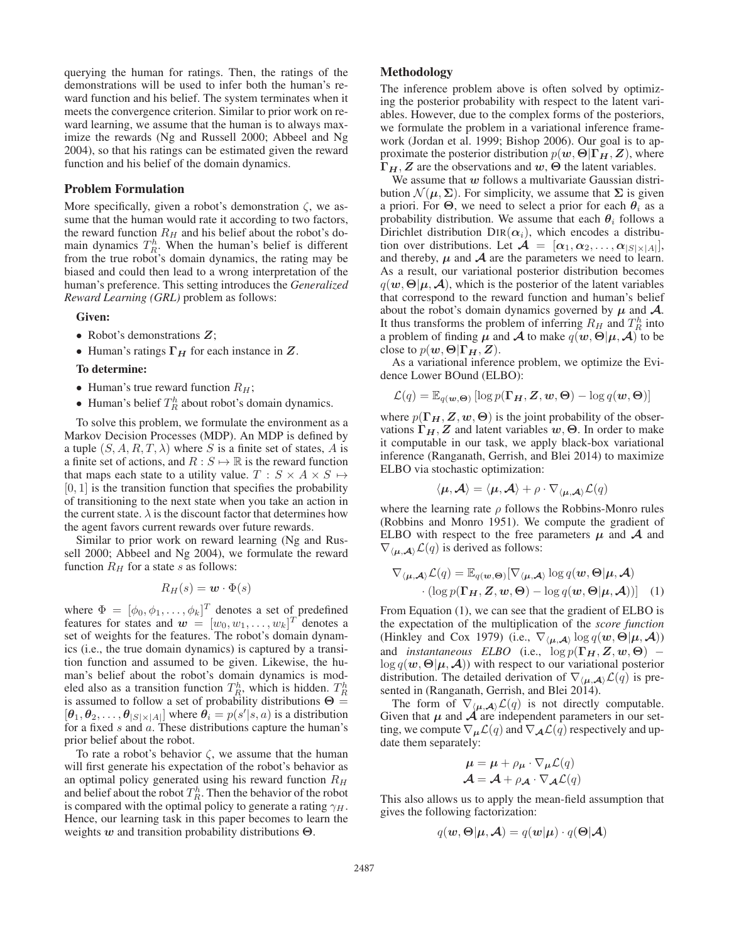querying the human for ratings. Then, the ratings of the demonstrations will be used to infer both the human's reward function and his belief. The system terminates when it meets the convergence criterion. Similar to prior work on reward learning, we assume that the human is to always maximize the rewards (Ng and Russell 2000; Abbeel and Ng 2004), so that his ratings can be estimated given the reward function and his belief of the domain dynamics.

### Problem Formulation

More specifically, given a robot's demonstration  $\zeta$ , we assume that the human would rate it according to two factors, the reward function  $R_H$  and his belief about the robot's domain dynamics  $T_R^h$ . When the human's belief is different from the true robot's domain dynamics the rating may be from the true robot's domain dynamics, the rating may be biased and could then lead to a wrong interpretation of the human's preference. This setting introduces the *Generalized Reward Learning (GRL)* problem as follows:

#### Given:

- Robot's demonstrations *Z*;
- Human's ratings **Γ***<sup>H</sup>* for each instance in *Z*.

#### To determine:

- Human's true reward function  $R_H$ ;
- Human's belief  $T_R^h$  about robot's domain dynamics.

To solve this problem, we formulate the environment as a Markov Decision Processes (MDP). An MDP is defined by a tuple  $(S, A, R, T, \lambda)$  where S is a finite set of states, A is a finite set of actions, and  $R : S \mapsto \mathbb{R}$  is the reward function that maps each state to a utility value.  $T : S \times A \times S \mapsto$  $[0, 1]$  is the transition function that specifies the probability of transitioning to the next state when you take an action in the current state.  $\lambda$  is the discount factor that determines how the agent favors current rewards over future rewards.

Similar to prior work on reward learning (Ng and Russell 2000; Abbeel and Ng 2004), we formulate the reward function  $R_H$  for a state s as follows:

$$
R_H(s) = \boldsymbol{w} \cdot \Phi(s)
$$

where  $\Phi = [\phi_0, \phi_1, \dots, \phi_k]^T$  denotes a set of predefined<br>features for states and  $\mathbf{w} = [w_0, w_1, \dots, w_k]^T$  denotes a features for states and  $w = [w_0, w_1, \dots, w_k]^T$  denotes a<br>set of weights for the features. The robot's domain dynamset of weights for the features. The robot's domain dynamics (i.e., the true domain dynamics) is captured by a transition function and assumed to be given. Likewise, the human's belief about the robot's domain dynamics is modeled also as a transition function  $T_R^h$ , which is hidden.  $T_R^h$ <br>is assumed to follow a set of probability distributions  $\Theta =$ is assumed to follow a set of probability distributions  $\Theta =$ <br>[*θ*, *θ*<sub>0</sub>] *θ θ*<sub>1</sub> (*θ*<sub>1</sub>) **θ**<sub>1</sub> (*θ*<sub>1</sub>) **θ**<sub>1</sub> (*θ*<sub>1</sub>) *θ*<sub>1</sub> (*θ*<sub>1</sub>) is a distribution  $[\theta_1, \theta_2, \dots, \theta_{|S| \times |A|}]$  where  $\theta_i = p(s'|s, a)$  is a distribution<br>for a fixed s and a These distributions canture the human's for a fixed  $s$  and  $a$ . These distributions capture the human's prior belief about the robot.

To rate a robot's behavior  $\zeta$ , we assume that the human will first generate his expectation of the robot's behavior as an optimal policy generated using his reward function  $R_H$ and belief about the robot  $T_R^h$ . Then the behavior of the robot<br>is compared with the optimal policy to generate a rating  $\gamma_H$ is compared with the optimal policy to generate a rating  $\gamma_H$ . Hence, our learning task in this paper becomes to learn the weights *w* and transition probability distributions **Θ**.

# Methodology

The inference problem above is often solved by optimizing the posterior probability with respect to the latent variables. However, due to the complex forms of the posteriors, we formulate the problem in a variational inference framework (Jordan et al. 1999; Bishop 2006). Our goal is to approximate the posterior distribution  $p(w, \Theta | \Gamma_H, Z)$ , where **Γ***H*, *Z* are the observations and *w*, **Θ** the latent variables.

We assume that *w* follows a multivariate Gaussian distribution  $\mathcal{N}(\boldsymbol{\mu}, \boldsymbol{\Sigma})$ . For simplicity, we assume that  $\boldsymbol{\Sigma}$  is given a priori. For  $\Theta$ , we need to select a prior for each  $\theta_i$  as a probability distribution. We assume that each  $\theta_i$  follows a Dirichlet distribution  $\text{DIR}(\alpha_i)$ , which encodes a distribution over distributions. Let  $\mathcal{A} = [\alpha_1, \alpha_2, \dots, \alpha_{|S| \times |A|}],$ and thereby,  $\mu$  and  $\mathcal A$  are the parameters we need to learn. As a result, our variational posterior distribution becomes  $q(\mathbf{w}, \Theta | \boldsymbol{\mu}, \mathcal{A})$ , which is the posterior of the latent variables that correspond to the reward function and human's belief about the robot's domain dynamics governed by  $\mu$  and  $\mathcal{A}$ . It thus transforms the problem of inferring  $R_H$  and  $T_R^h$  into a problem of finding  $\mu$  and  $\mathcal A$  to make  $g(\boldsymbol{w} \boldsymbol{\Theta} | \boldsymbol{u}, \boldsymbol{\mathcal{A}})$  to be a problem of finding  $\mu$  and  $\mathcal A$  to make  $q(\boldsymbol{w}, \boldsymbol{\Theta} | \mu, \mathcal A)$  to be close to  $p(w, \Theta | \Gamma_H, Z)$ .

As a variational inference problem, we optimize the Evidence Lower BOund (ELBO):

$$
\mathcal{L}(q) = \mathbb{E}_{q(\boldsymbol{w},\boldsymbol{\Theta})} [\log p(\boldsymbol{\Gamma}_{\boldsymbol{H}}, \boldsymbol{Z}, \boldsymbol{w}, \boldsymbol{\Theta}) - \log q(\boldsymbol{w}, \boldsymbol{\Theta})]
$$

where  $p(\Gamma_H, Z, w, \Theta)$  is the joint probability of the observations  $\Gamma_H$ , *Z* and latent variables  $w$ ,  $\Theta$ . In order to make it computable in our task, we apply black-box variational inference (Ranganath, Gerrish, and Blei 2014) to maximize ELBO via stochastic optimization:

$$
\langle \boldsymbol{\mu}, \boldsymbol{\mathcal{A}} \rangle = \langle \boldsymbol{\mu}, \boldsymbol{\mathcal{A}} \rangle + \rho \cdot \nabla_{\langle \boldsymbol{\mu}, \boldsymbol{\mathcal{A}} \rangle} \mathcal{L}(q)
$$

where the learning rate  $\rho$  follows the Robbins-Monro rules (Robbins and Monro 1951). We compute the gradient of ELBO with respect to the free parameters  $\mu$  and  $\mathcal A$  and  $\nabla_{\langle \mu, \mathcal{A} \rangle} \mathcal{L}(q)$  is derived as follows:

$$
\nabla_{\langle \boldsymbol{\mu}, \boldsymbol{\mathcal{A}} \rangle} \mathcal{L}(q) = \mathbb{E}_{q(\boldsymbol{w}, \boldsymbol{\Theta})} [\nabla_{\langle \boldsymbol{\mu}, \boldsymbol{\mathcal{A}} \rangle} \log q(\boldsymbol{w}, \boldsymbol{\Theta} | \boldsymbol{\mu}, \boldsymbol{\mathcal{A}}) \cdot (\log p(\boldsymbol{\Gamma}_{\boldsymbol{H}}, \boldsymbol{Z}, \boldsymbol{w}, \boldsymbol{\Theta}) - \log q(\boldsymbol{w}, \boldsymbol{\Theta} | \boldsymbol{\mu}, \boldsymbol{\mathcal{A}}))]
$$
(1)

From Equation (1), we can see that the gradient of ELBO is the expectation of the multiplication of the *score function* (Hinkley and Cox 1979) (i.e.,  $\nabla_{\langle \mu, \mathcal{A} \rangle} \log q(\boldsymbol{w}, \boldsymbol{\Theta} | \boldsymbol{\mu}, \mathcal{A})$ ) and *instantaneous* ELBO (i.e.,  $\log p(\Gamma_H, Z, w, \Theta)$  –  $\log q(\boldsymbol{w}, \boldsymbol{\Theta} | \boldsymbol{\mu}, \boldsymbol{\mathcal{A}})$ ) with respect to our variational posterior distribution. The detailed derivation of  $\nabla_{\langle \mu, \mathcal{A} \rangle} \mathcal{L}(q)$  is presented in (Ranganath, Gerrish, and Blei 2014).

The form of  $\nabla_{\langle \mu, \mathcal{A} \rangle} \mathcal{L}(q)$  is not directly computable. Given that  $\mu$  and  $\mathcal A$  are independent parameters in our setting, we compute  $\nabla_{\mu} \mathcal{L}(q)$  and  $\nabla_{\mathcal{A}} \mathcal{L}(q)$  respectively and update them separately:

$$
\mu = \mu + \rho_{\mu} \cdot \nabla_{\mu} \mathcal{L}(q)
$$

$$
\mathcal{A} = \mathcal{A} + \rho_{\mathcal{A}} \cdot \nabla_{\mathcal{A}} \mathcal{L}(q)
$$

This also allows us to apply the mean-field assumption that gives the following factorization:

$$
q(\mathbf{w}, \mathbf{\Theta} | \boldsymbol{\mu}, \mathbf{\mathcal{A}}) = q(\mathbf{w} | \boldsymbol{\mu}) \cdot q(\mathbf{\Theta} | \mathbf{\mathcal{A}})
$$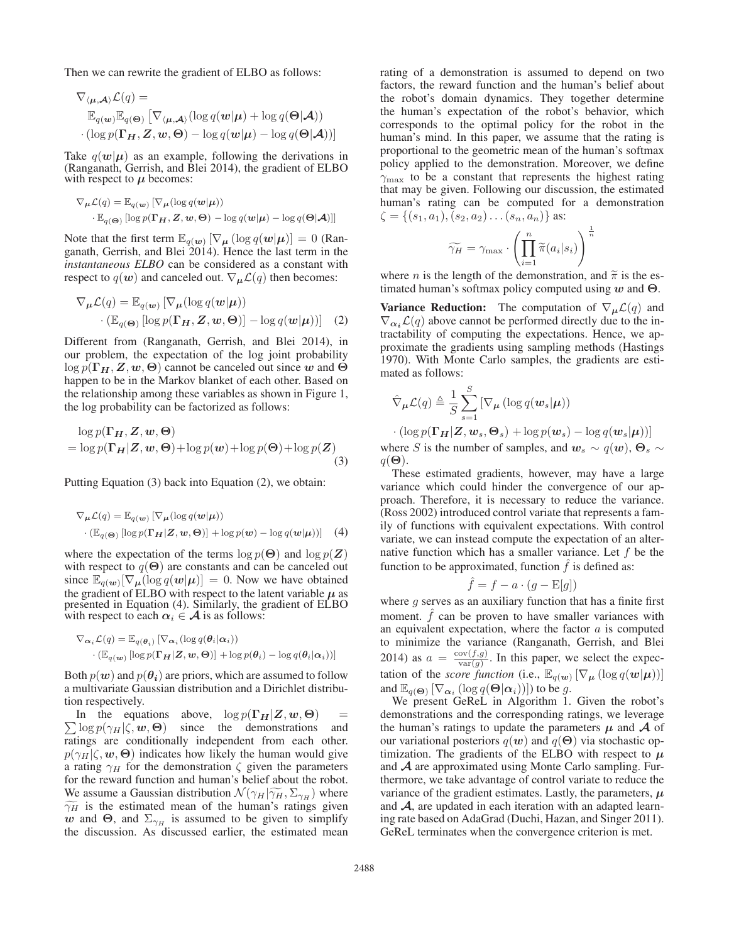Then we can rewrite the gradient of ELBO as follows:

$$
\nabla_{\langle \boldsymbol{\mu}, \boldsymbol{\mathcal{A}} \rangle} \mathcal{L}(q) =
$$
\n
$$
\mathbb{E}_{q(\mathbf{w})} \mathbb{E}_{q(\mathbf{\Theta})} \left[ \nabla_{\langle \boldsymbol{\mu}, \boldsymbol{\mathcal{A}} \rangle} (\log q(\mathbf{w}|\boldsymbol{\mu}) + \log q(\mathbf{\Theta}|\boldsymbol{\mathcal{A}})) \right]
$$
\n
$$
\cdot (\log p(\mathbf{\Gamma}_{\boldsymbol{H}}, \boldsymbol{Z}, \mathbf{w}, \boldsymbol{\Theta}) - \log q(\mathbf{w}|\boldsymbol{\mu}) - \log q(\mathbf{\Theta}|\boldsymbol{\mathcal{A}}))
$$

Take  $q(w|\mu)$  as an example, following the derivations in (Ranganath, Gerrish, and Blei 2014), the gradient of ELBO with respect to  $\mu$  becomes:

$$
\nabla_{\mu} \mathcal{L}(q) = \mathbb{E}_{q(\mathbf{w})} [\nabla_{\mu} (\log q(\mathbf{w}|\mu))
$$
  
. 
$$
\mathbb{E}_{q(\mathbf{\Theta})} [\log p(\mathbf{\Gamma}_{H}, \mathbf{Z}, \mathbf{w}, \mathbf{\Theta}) - \log q(\mathbf{w}|\mu) - \log q(\mathbf{\Theta}|\mathbf{A})]]
$$

Note that the first term  $\mathbb{E}_{q(\boldsymbol{w})} [\nabla_{\boldsymbol{\mu}} (\log q(\boldsymbol{w}|\boldsymbol{\mu})] = 0$  (Ranganath, Gerrish, and Blei 2014). Hence the last term in the *instantaneous ELBO* can be considered as a constant with respect to  $q(w)$  and canceled out.  $\nabla_{\mu} \mathcal{L}(q)$  then becomes:

$$
\nabla_{\mu} \mathcal{L}(q) = \mathbb{E}_{q(\mathbf{w})} \left[ \nabla_{\mu} (\log q(\mathbf{w}|\boldsymbol{\mu})) \right] \cdot (\mathbb{E}_{q(\mathbf{\Theta})} \left[ \log p(\mathbf{\Gamma}_{H}, \mathbf{Z}, \mathbf{w}, \mathbf{\Theta}) \right] - \log q(\mathbf{w}|\boldsymbol{\mu})) \right] \quad (2)
$$

Different from (Ranganath, Gerrish, and Blei 2014), in our problem, the expectation of the log joint probability  $\log p(\Gamma_H, Z, w, \Theta)$  cannot be canceled out since *w* and  $\Theta$ happen to be in the Markov blanket of each other. Based on the relationship among these variables as shown in Figure 1, the log probability can be factorized as follows:

$$
\log p(\mathbf{\Gamma}_{H}, Z, w, \Theta)
$$
  
= log  $p(\mathbf{\Gamma}_{H} | Z, w, \Theta)$ +log  $p(w)$ +log  $p(\Theta)$ +log  $p(Z)$  (3)

Putting Equation (3) back into Equation (2), we obtain:

$$
\nabla_{\mu} \mathcal{L}(q) = \mathbb{E}_{q(\mathbf{w})} \left[ \nabla_{\mu} (\log q(\mathbf{w}|\mu)) - \mathbb{E}_{q(\mathbf{\Theta})} \left[ \log p(\mathbf{\Gamma}_{H}|\mathbf{Z}, \mathbf{w}, \mathbf{\Theta}) \right] + \log p(\mathbf{w}) - \log q(\mathbf{w}|\mu)) \right] \quad (4)
$$

where the expectation of the terms  $\log p(\Theta)$  and  $\log p(\mathbf{Z})$ with respect to  $q(\Theta)$  are constants and can be canceled out since  $\mathbb{E}_{q(w)}[\nabla_{\mu}(\log q(w|\mu))] = 0$ . Now we have obtained the gradient of ELBO with respect to the latent variable  $\mu$  as presented in Equation (4). Similarly, the gradient of ELBO with respect to each  $\alpha_i \in \mathcal{A}$  is as follows:

$$
\nabla_{\boldsymbol{\alpha}_i} \mathcal{L}(q) = \mathbb{E}_{q(\boldsymbol{\theta}_i)} \left[ \nabla_{\boldsymbol{\alpha}_i} (\log q(\boldsymbol{\theta}_i | \boldsymbol{\alpha}_i)) - (\mathbb{E}_{q(\boldsymbol{w})} [\log p(\boldsymbol{\Gamma_H} | \boldsymbol{Z}, \boldsymbol{w}, \boldsymbol{\Theta})] + \log p(\boldsymbol{\theta}_i) - \log q(\boldsymbol{\theta}_i | \boldsymbol{\alpha}_i)) \right]
$$

Both  $p(w)$  and  $p(\theta_i)$  are priors, which are assumed to follow a multivariate Gaussian distribution and a Dirichlet distribution respectively.

 $\sum \log p(\gamma_H|\zeta, \mathbf{w}, \mathbf{\Theta})$  since the demonstrations and ratings are conditionally independent from each other In the equations above,  $\log p(\Gamma_H | Z, w, \Theta)$ ratings are conditionally independent from each other.  $p(\gamma_H|\zeta, \mathbf{w}, \Theta)$  indicates how likely the human would give a rating  $\gamma_H$  for the demonstration  $\zeta$  given the parameters for the reward function and human's belief about the robot.  $\sum$  log  $p(\gamma_H|\zeta, \mathbf{w}, \Theta)$  since the demonstrations and<br>ratings are conditionally independent from each other.<br> $p(\gamma_H|\zeta, \mathbf{w}, \Theta)$  indicates how likely the human would give<br>a rating  $\gamma_H$  for the demonstration  $\zeta$  gi ratings are conditionally independent from each other.<br>  $p(\gamma_H|\zeta, \mathbf{w}, \Theta)$  indicates how likely the human would give<br>
a rating  $\gamma_H$  for the demonstration  $\zeta$  given the parameters<br>
for the reward function and human's b *w* and  $\Theta$ , and  $\Sigma_{\gamma}$  is assumed to be given to simplify the discussion. As discussed earlier, the estimated mean

rating of a demonstration is assumed to depend on two factors, the reward function and the human's belief about the robot's domain dynamics. They together determine the human's expectation of the robot's behavior, which corresponds to the optimal policy for the robot in the human's mind. In this paper, we assume that the rating is proportional to the geometric mean of the human's softmax policy applied to the demonstration. Moreover, we define policy applied to the demonstration. Moreover, we define  $\gamma_{\rm max}$  to be a constant that represents the highest rating that may be given. Following our discussion, the estimated<br>human's rating can be computed for a demonstration<br> $\zeta = \{(s_1, a_1), (s_2, a_2) \dots (s_n, a_n)\}$  as:<br> $\widetilde{\gamma_H} = \gamma_{\text{max}} \cdot \left(\prod_{i=1}^n \widetilde{\pi}(a_i|s_i)\right)^{\frac{1}{n}}$ human's rating can be computed for a demonstration  $\zeta = \{(s_1, a_1), (s_2, a_2) \dots (s_n, a_n)\}\$  as:

$$
\zeta = \{(s_1, a_1), (s_2, a_2) \dots (s_n, a_n)\} \text{ as:}
$$
\n
$$
\widetilde{\gamma_H} = \gamma_{\text{max}} \cdot \left(\prod_{i=1}^n \widetilde{\pi}(a_i|s_i)\right)^{\frac{1}{n}}
$$
\nwhere *n* is the length of the demonstration, and  $\widetilde{\pi}$  is the es-

timated human's softmax policy computed using *w* and **Θ**.

**Variance Reduction:** The computation of  $\nabla_{\mu} \mathcal{L}(q)$  and  $\nabla_{\alpha_i} \mathcal{L}(q)$  above cannot be performed directly due to the intractability of computing the expectations. Hence, we approximate the gradients using sampling methods (Hastings 1970). With Monte Carlo samples, the gradients are estimated as follows:

$$
\hat{\nabla}_{\mu} \mathcal{L}(q) \triangleq \frac{1}{S} \sum_{s=1}^{S} \left[ \nabla_{\mu} \left( \log q(\boldsymbol{w}_s | \boldsymbol{\mu}) \right) \right]
$$

$$
\cdot \left( \log p(\boldsymbol{\Gamma}_{\boldsymbol{H}} | \boldsymbol{Z}, \boldsymbol{w}_s, \boldsymbol{\Theta}_s) + \log p(\boldsymbol{w}_s) - \log q(\boldsymbol{w}_s | \boldsymbol{\mu}) \right) \right]
$$

where S is the number of samples, and  $w_s \sim q(w)$ ,  $\Theta_s \sim$  $q(\boldsymbol{\Theta})$ .

These estimated gradients, however, may have a large variance which could hinder the convergence of our approach. Therefore, it is necessary to reduce the variance. (Ross 2002) introduced control variate that represents a family of functions with equivalent expectations. With control variate, we can instead compute the expectation of an alternative function which has a smaller variance. Let f be the function to be approximated, function  $\hat{f}$  is defined as:

$$
f = f - a \cdot (g - \mathcal{E}[g])
$$

 $f = f - a \cdot (g - E[g])$ <br>where g serves as an auxiliary function that has a finite first moment.  $\hat{f}$  can be proven to have smaller variances with an equivalent expectation, where the factor  $a$  is computed to minimize the variance (Ranganath, Gerrish, and Blei 2014) as  $a = \frac{\text{cov}(f,g)}{\text{var}(g)}$ . In this paper, we select the expectation of the *score function* (i.e.,  $\mathbb{E}_{q(w)} [\nabla_{\mu} (\log q(w|\mu))]$ and  $\mathbb{E}_{q(\Theta)} [\nabla_{\alpha_i} (\log q(\Theta|\alpha_i))]$  to be g.

We present GeReL in Algorithm 1. Given the robot's demonstrations and the corresponding ratings, we leverage the human's ratings to update the parameters  $\mu$  and  $\mathcal A$  of our variational posteriors  $q(w)$  and  $q(\Theta)$  via stochastic optimization. The gradients of the ELBO with respect to  $\mu$ and *A* are approximated using Monte Carlo sampling. Furthermore, we take advantage of control variate to reduce the variance of the gradient estimates. Lastly, the parameters, *μ* and *A*, are updated in each iteration with an adapted learning rate based on AdaGrad (Duchi, Hazan, and Singer 2011). GeReL terminates when the convergence criterion is met.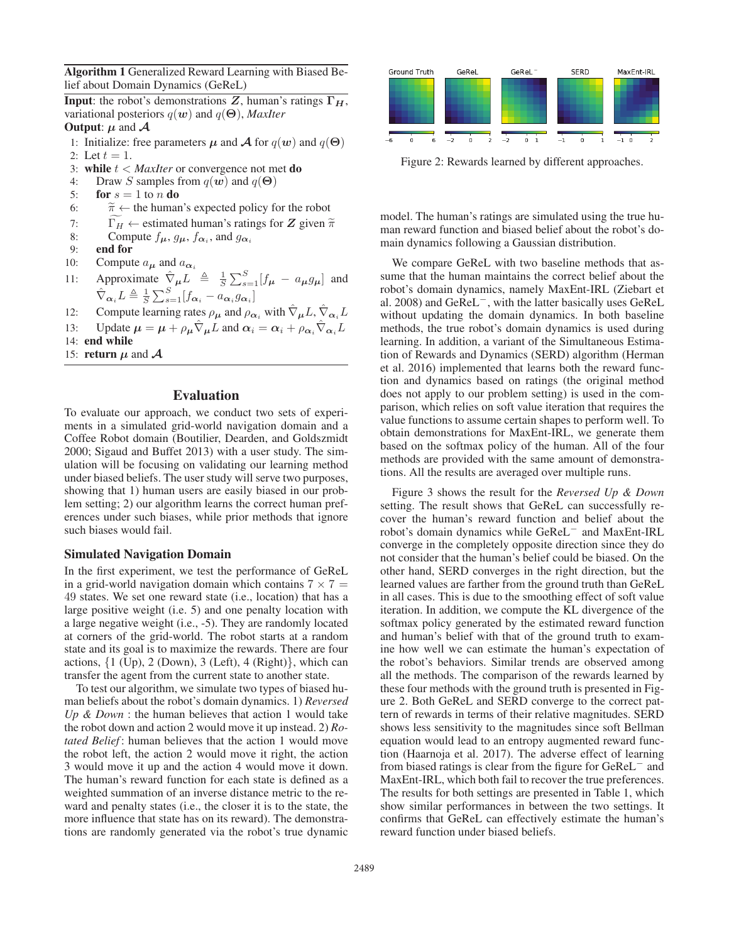Algorithm 1 Generalized Reward Learning with Biased Belief about Domain Dynamics (GeReL)

**Input**: the robot's demonstrations Z, human's ratings  $\Gamma_H$ , variational posteriors <sup>q</sup>(*w*) and <sup>q</sup>(**Θ**), *MaxIter*

# **Output:**  $\mu$  and  $\mathcal{A}$

- 1: Initialize: free parameters  $\mu$  and  $\mathcal{A}$  for  $q(\boldsymbol{w})$  and  $q(\boldsymbol{\Theta})$
- 2: Let  $t = 1$ .<br>3. while  $t <$
- 3: while  $t <$  *MaxIter* or convergence not met **do**
- 4: Draw *S* samples from  $q(w)$  and  $q(\Theta)$ <br>5: **for**  $s = 1$  to *n* **do**
- 5: **for**  $s = 1$  to *n* **do**<br>6:  $\widetilde{\pi} \leftarrow$  the humar
- 1: Initialize: free parameters  $\mu$  and  $\mathcal A$  for  $q(w)$  and  $q(w)$ <br>
2: Let  $t = 1$ .<br>
3: **while**  $t < MaxIter$  or convergence not met **do**<br>
4: Draw *S* samples from  $q(w)$  and  $q(\Theta)$ <br>
5: **for**  $s = 1$  to *n* **do**<br>
6:  $\widetilde{\pi} \leftarrow$  th
- 3: **while**  $t < MaxIter$  or convergence not met **do**<br>4: Draw *S* samples from  $q(w)$  and  $q(\Theta)$ <br>5: **for**  $s = 1$  to *n* **do**<br>6:  $\tilde{\pi} \leftarrow$  the human's expected policy for the robot<br>7:  $\Gamma_H \leftarrow$  estimated human's ratings for *Z* gi
- 8: Compute  $f_{\mu}$ ,  $g_{\mu}$ ,  $f_{\alpha_i}$ , and  $g_{\alpha_i}$ <br>9: **end for**
- end for
- 10: Compute  $a_{\mu}$  and  $a_{\alpha}$
- 11: Approximate  $\hat{\nabla}_{\mu} L \triangleq \frac{1}{S} \sum_{s=1}^{S} [f_{\mu} a_{\mu} g_{\mu}]$  and  $\hat{\nabla}_{\alpha_i} L \triangleq \frac{1}{S} \sum_{s=1}^{S} [f_{\alpha_i} - a_{\alpha_i} g_{\alpha_i}]$
- 12: Compute learning rates  $\rho_{\mu}$  and  $\rho_{\alpha_i}$  with  $\hat{\nabla}_{\mu}L, \hat{\nabla}_{\alpha_i}L$
- 13: Update  $\mu = \mu + \rho_{\mu} \hat{\nabla}_{\mu} L$  and  $\alpha_i = \alpha_i + \rho_{\alpha_i} \hat{\nabla}_{\alpha_i} L$
- 14: end while
- 15: **return**  $\mu$  and  $\mathcal{A}$

# Evaluation

To evaluate our approach, we conduct two sets of experiments in a simulated grid-world navigation domain and a Coffee Robot domain (Boutilier, Dearden, and Goldszmidt 2000; Sigaud and Buffet 2013) with a user study. The simulation will be focusing on validating our learning method under biased beliefs. The user study will serve two purposes, showing that 1) human users are easily biased in our problem setting; 2) our algorithm learns the correct human preferences under such biases, while prior methods that ignore such biases would fail.

### Simulated Navigation Domain

In the first experiment, we test the performance of GeReL in a grid-world navigation domain which contains  $7 \times 7 =$ 49 states. We set one reward state (i.e., location) that has a large positive weight (i.e. 5) and one penalty location with a large negative weight (i.e., -5). They are randomly located at corners of the grid-world. The robot starts at a random state and its goal is to maximize the rewards. There are four actions,  $\{1 \text{ (Up)}, 2 \text{ (Down)}, 3 \text{ (Left)}, 4 \text{ (Right)}\}$ , which can transfer the agent from the current state to another state.

To test our algorithm, we simulate two types of biased human beliefs about the robot's domain dynamics. 1) *Reversed Up & Down* : the human believes that action 1 would take the robot down and action 2 would move it up instead. 2) *Rotated Belief* : human believes that the action 1 would move the robot left, the action 2 would move it right, the action 3 would move it up and the action 4 would move it down. The human's reward function for each state is defined as a weighted summation of an inverse distance metric to the reward and penalty states (i.e., the closer it is to the state, the more influence that state has on its reward). The demonstrations are randomly generated via the robot's true dynamic



Figure 2: Rewards learned by different approaches.

model. The human's ratings are simulated using the true human reward function and biased belief about the robot's domain dynamics following a Gaussian distribution.

We compare GeReL with two baseline methods that assume that the human maintains the correct belief about the robot's domain dynamics, namely MaxEnt-IRL (Ziebart et al. 2008) and GeReL−, with the latter basically uses GeReL without updating the domain dynamics. In both baseline methods, the true robot's domain dynamics is used during learning. In addition, a variant of the Simultaneous Estimation of Rewards and Dynamics (SERD) algorithm (Herman et al. 2016) implemented that learns both the reward function and dynamics based on ratings (the original method does not apply to our problem setting) is used in the comparison, which relies on soft value iteration that requires the value functions to assume certain shapes to perform well. To obtain demonstrations for MaxEnt-IRL, we generate them based on the softmax policy of the human. All of the four methods are provided with the same amount of demonstrations. All the results are averaged over multiple runs.

Figure 3 shows the result for the *Reversed Up & Down* setting. The result shows that GeReL can successfully recover the human's reward function and belief about the robot's domain dynamics while GeReL<sup>−</sup> and MaxEnt-IRL converge in the completely opposite direction since they do not consider that the human's belief could be biased. On the other hand, SERD converges in the right direction, but the learned values are farther from the ground truth than GeReL in all cases. This is due to the smoothing effect of soft value iteration. In addition, we compute the KL divergence of the softmax policy generated by the estimated reward function and human's belief with that of the ground truth to examine how well we can estimate the human's expectation of the robot's behaviors. Similar trends are observed among all the methods. The comparison of the rewards learned by these four methods with the ground truth is presented in Figure 2. Both GeReL and SERD converge to the correct pattern of rewards in terms of their relative magnitudes. SERD shows less sensitivity to the magnitudes since soft Bellman equation would lead to an entropy augmented reward function (Haarnoja et al. 2017). The adverse effect of learning from biased ratings is clear from the figure for GeReL<sup>−</sup> and MaxEnt-IRL, which both fail to recover the true preferences. The results for both settings are presented in Table 1, which show similar performances in between the two settings. It confirms that GeReL can effectively estimate the human's reward function under biased beliefs.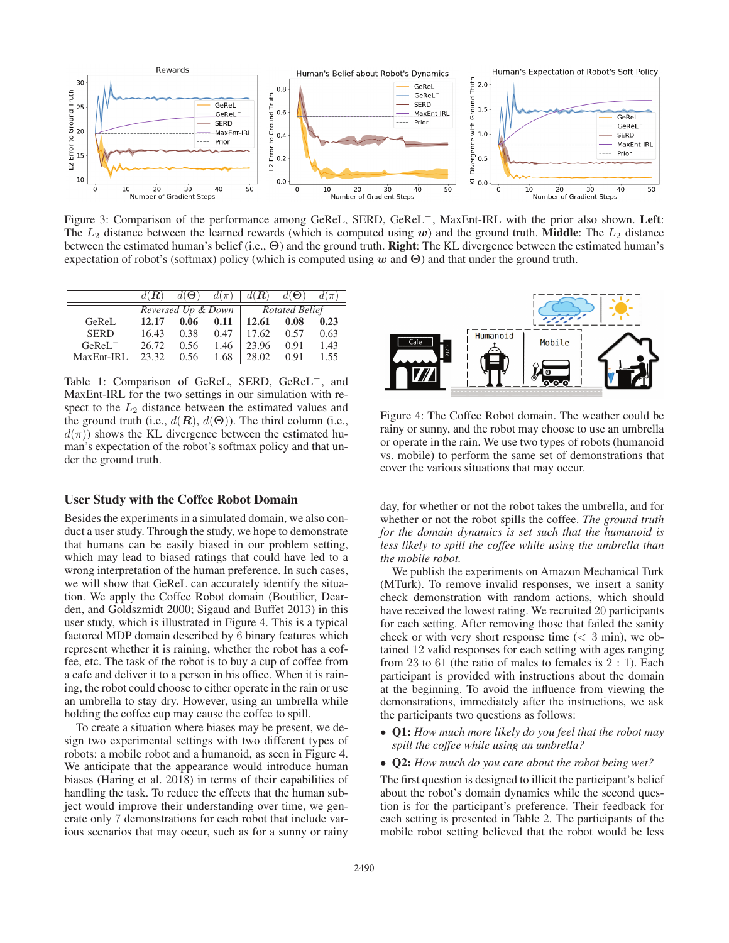

Figure 3: Comparison of the performance among GeReL, SERD, GeReL−, MaxEnt-IRL with the prior also shown. Left: The  $L_2$  distance between the learned rewards (which is computed using *w*) and the ground truth. **Middle**: The  $L_2$  distance between the estimated human's belief (i.e., **Θ**) and the ground truth. Right: The KL divergence between the estimated human's expectation of robot's (softmax) policy (which is computed using *w* and **Θ**) and that under the ground truth.

|             | $d(\mathbf{R})$    | $d(\boldsymbol{\Theta})$ | $d(\pi)$ | $d(\mathbf{R})$       | $d(\boldsymbol{\Theta})$ | $d(\pi)$ |
|-------------|--------------------|--------------------------|----------|-----------------------|--------------------------|----------|
|             | Reversed Up & Down |                          |          | <b>Rotated Belief</b> |                          |          |
| GeReL       | 12.17              | 0.06                     | 0.11     | 12.61 0.08            |                          | 0.23     |
| <b>SERD</b> | 16.43              | 0.38                     | 0.47     | 17.62                 | 0.57                     | 0.63     |
| $GeReLU^-$  | 26.72              | 0.56                     | 1.46     | 23.96                 | 0.91                     | 1.43     |
| MaxEnt-IRL  | 23.32              | 0.56                     | 1.68     | 28.02                 | 0.91                     | 1.55     |

Table 1: Comparison of GeReL, SERD, GeReL−, and MaxEnt-IRL for the two settings in our simulation with respect to the  $L_2$  distance between the estimated values and the ground truth (i.e.,  $d(\mathbf{R})$ ,  $d(\Theta)$ ). The third column (i.e.,  $d(\pi)$ ) shows the KL divergence between the estimated human's expectation of the robot's softmax policy and that under the ground truth.

# User Study with the Coffee Robot Domain

Besides the experiments in a simulated domain, we also conduct a user study. Through the study, we hope to demonstrate that humans can be easily biased in our problem setting, which may lead to biased ratings that could have led to a wrong interpretation of the human preference. In such cases, we will show that GeReL can accurately identify the situation. We apply the Coffee Robot domain (Boutilier, Dearden, and Goldszmidt 2000; Sigaud and Buffet 2013) in this user study, which is illustrated in Figure 4. This is a typical factored MDP domain described by 6 binary features which represent whether it is raining, whether the robot has a coffee, etc. The task of the robot is to buy a cup of coffee from a cafe and deliver it to a person in his office. When it is raining, the robot could choose to either operate in the rain or use an umbrella to stay dry. However, using an umbrella while holding the coffee cup may cause the coffee to spill.

To create a situation where biases may be present, we design two experimental settings with two different types of robots: a mobile robot and a humanoid, as seen in Figure 4. We anticipate that the appearance would introduce human biases (Haring et al. 2018) in terms of their capabilities of handling the task. To reduce the effects that the human subject would improve their understanding over time, we generate only 7 demonstrations for each robot that include various scenarios that may occur, such as for a sunny or rainy



Figure 4: The Coffee Robot domain. The weather could be rainy or sunny, and the robot may choose to use an umbrella or operate in the rain. We use two types of robots (humanoid vs. mobile) to perform the same set of demonstrations that cover the various situations that may occur.

day, for whether or not the robot takes the umbrella, and for whether or not the robot spills the coffee. *The ground truth for the domain dynamics is set such that the humanoid is less likely to spill the coffee while using the umbrella than the mobile robot.*

We publish the experiments on Amazon Mechanical Turk (MTurk). To remove invalid responses, we insert a sanity check demonstration with random actions, which should have received the lowest rating. We recruited 20 participants for each setting. After removing those that failed the sanity check or with very short response time  $(< 3$  min), we obtained 12 valid responses for each setting with ages ranging from  $23$  to  $61$  (the ratio of males to females is  $2:1$ ). Each participant is provided with instructions about the domain at the beginning. To avoid the influence from viewing the demonstrations, immediately after the instructions, we ask the participants two questions as follows:

- Q1: *How much more likely do you feel that the robot may spill the coffee while using an umbrella?*
- Q2: *How much do you care about the robot being wet?*

The first question is designed to illicit the participant's belief about the robot's domain dynamics while the second question is for the participant's preference. Their feedback for each setting is presented in Table 2. The participants of the mobile robot setting believed that the robot would be less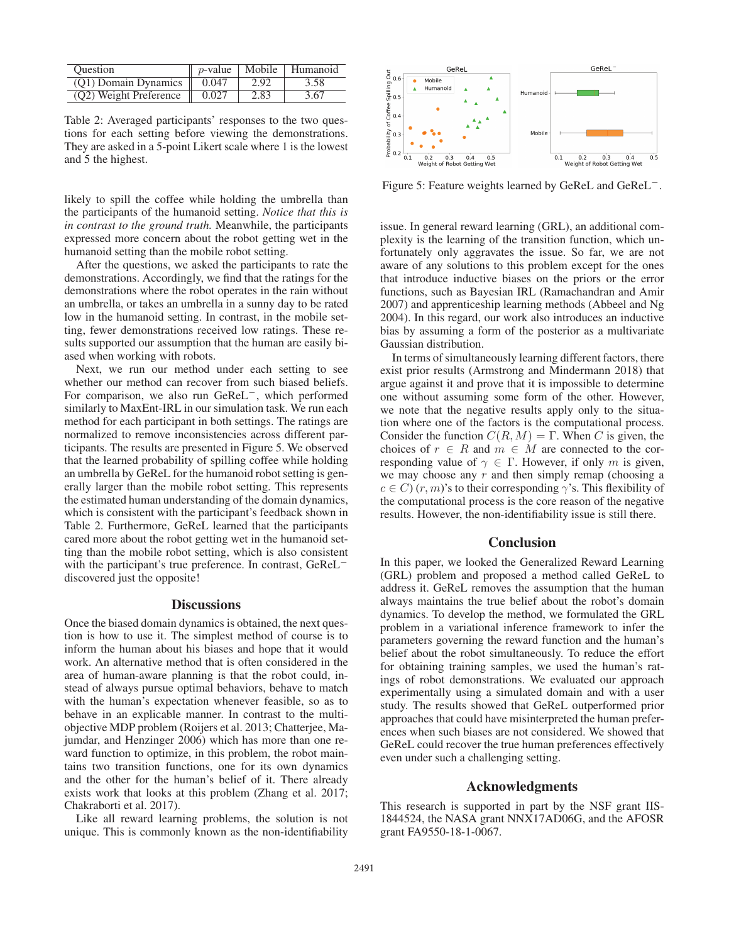| <b>Ouestion</b>        | <i>p</i> -value | Mobile | Humanoid |
|------------------------|-----------------|--------|----------|
| (O1) Domain Dynamics   | 0.047           | 2.92   | 3.58     |
| (Q2) Weight Preference | 0.027           | 2.83   | 3.67     |

Table 2: Averaged participants' responses to the two questions for each setting before viewing the demonstrations. They are asked in a 5-point Likert scale where 1 is the lowest and 5 the highest.

likely to spill the coffee while holding the umbrella than the participants of the humanoid setting. *Notice that this is in contrast to the ground truth.* Meanwhile, the participants expressed more concern about the robot getting wet in the humanoid setting than the mobile robot setting.

After the questions, we asked the participants to rate the demonstrations. Accordingly, we find that the ratings for the demonstrations where the robot operates in the rain without an umbrella, or takes an umbrella in a sunny day to be rated low in the humanoid setting. In contrast, in the mobile setting, fewer demonstrations received low ratings. These results supported our assumption that the human are easily biased when working with robots.

Next, we run our method under each setting to see whether our method can recover from such biased beliefs. For comparison, we also run GeReL−, which performed similarly to MaxEnt-IRL in our simulation task. We run each method for each participant in both settings. The ratings are normalized to remove inconsistencies across different participants. The results are presented in Figure 5. We observed that the learned probability of spilling coffee while holding an umbrella by GeReL for the humanoid robot setting is generally larger than the mobile robot setting. This represents the estimated human understanding of the domain dynamics, which is consistent with the participant's feedback shown in Table 2. Furthermore, GeReL learned that the participants cared more about the robot getting wet in the humanoid setting than the mobile robot setting, which is also consistent with the participant's true preference. In contrast, GeReL<sup>−</sup> discovered just the opposite!

# **Discussions**

Once the biased domain dynamics is obtained, the next question is how to use it. The simplest method of course is to inform the human about his biases and hope that it would work. An alternative method that is often considered in the area of human-aware planning is that the robot could, instead of always pursue optimal behaviors, behave to match with the human's expectation whenever feasible, so as to behave in an explicable manner. In contrast to the multiobjective MDP problem (Roijers et al. 2013; Chatterjee, Majumdar, and Henzinger 2006) which has more than one reward function to optimize, in this problem, the robot maintains two transition functions, one for its own dynamics and the other for the human's belief of it. There already exists work that looks at this problem (Zhang et al. 2017; Chakraborti et al. 2017).

Like all reward learning problems, the solution is not unique. This is commonly known as the non-identifiability



Figure 5: Feature weights learned by GeReL and GeReL−.

issue. In general reward learning (GRL), an additional complexity is the learning of the transition function, which unfortunately only aggravates the issue. So far, we are not aware of any solutions to this problem except for the ones that introduce inductive biases on the priors or the error functions, such as Bayesian IRL (Ramachandran and Amir 2007) and apprenticeship learning methods (Abbeel and Ng 2004). In this regard, our work also introduces an inductive bias by assuming a form of the posterior as a multivariate Gaussian distribution.

In terms of simultaneously learning different factors, there exist prior results (Armstrong and Mindermann 2018) that argue against it and prove that it is impossible to determine one without assuming some form of the other. However, we note that the negative results apply only to the situation where one of the factors is the computational process. Consider the function  $C(R, M) = \Gamma$ . When C is given, the choices of  $r \in R$  and  $m \in M$  are connected to the corresponding value of  $\gamma \in \Gamma$ . However, if only m is given, we may choose any  $r$  and then simply remap (choosing a  $c \in C$ )  $(r, m)$ 's to their corresponding  $\gamma$ 's. This flexibility of the computational process is the core reason of the negative results. However, the non-identifiability issue is still there.

# **Conclusion**

In this paper, we looked the Generalized Reward Learning (GRL) problem and proposed a method called GeReL to address it. GeReL removes the assumption that the human always maintains the true belief about the robot's domain dynamics. To develop the method, we formulated the GRL problem in a variational inference framework to infer the parameters governing the reward function and the human's belief about the robot simultaneously. To reduce the effort for obtaining training samples, we used the human's ratings of robot demonstrations. We evaluated our approach experimentally using a simulated domain and with a user study. The results showed that GeReL outperformed prior approaches that could have misinterpreted the human preferences when such biases are not considered. We showed that GeReL could recover the true human preferences effectively even under such a challenging setting.

### Acknowledgments

This research is supported in part by the NSF grant IIS-1844524, the NASA grant NNX17AD06G, and the AFOSR grant FA9550-18-1-0067.